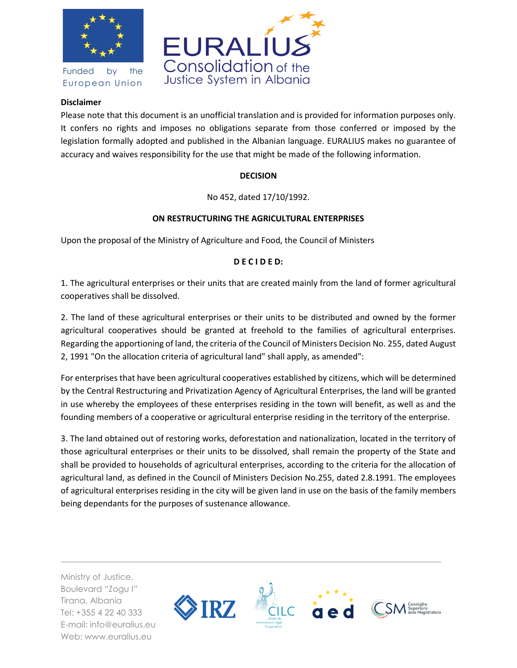

Funded by the European Union



## **Disclaimer**

Please note that this document is an unofficial translation and is provided for information purposes only. It confers no rights and imposes no obligations separate from those conferred or imposed by the legislation formally adopted and published in the Albanian language. EURALIUS makes no guarantee of accuracy and waives responsibility for the use that might be made of the following information.

## **DECISION**

No 452, dated 17/10/1992.

## **ON RESTRUCTURING THE AGRICULTURAL ENTERPRISES**

Upon the proposal of the Ministry of Agriculture and Food, the Council of Ministers

## **D E C I D E D:**

1. The agricultural enterprises or their units that are created mainly from the land of former agricultural cooperatives shall be dissolved.

2. The land of these agricultural enterprises or their units to be distributed and owned by the former agricultural cooperatives should be granted at freehold to the families of agricultural enterprises. Regarding the apportioning of land, the criteria of the Council of Ministers Decision No. 255, dated August 2, 1991 "On the allocation criteria of agricultural land" shall apply, as amended":

For enterprises that have been agricultural cooperatives established by citizens, which will be determined by the Central Restructuring and Privatization Agency of Agricultural Enterprises, the land will be granted in use whereby the employees of these enterprises residing in the town will benefit, as well as and the founding members of a cooperative or agricultural enterprise residing in the territory of the enterprise.

3. The land obtained out of restoring works, deforestation and nationalization, located in the territory of those agricultural enterprises or their units to be dissolved, shall remain the property of the State and shall be provided to households of agricultural enterprises, according to the criteria for the allocation of agricultural land, as defined in the Council of Ministers Decision No.255, dated 2.8.1991. The employees of agricultural enterprises residing in the city will be given land in use on the basis of the family members being dependants for the purposes of sustenance allowance.

Ministry of Justice, Boulevard "Zogu I" Tirana, Albania Tel: +355 4 22 40 333 E-mail: info@euralius.eu Web: www.euralius.eu

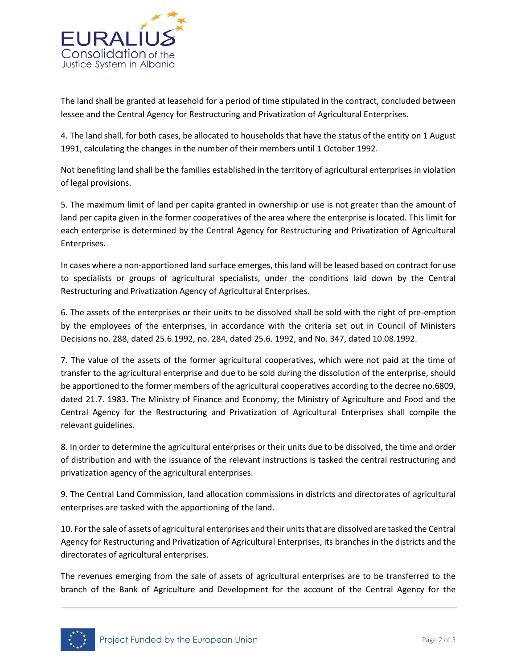

The land shall be granted at leasehold for a period of time stipulated in the contract, concluded between lessee and the Central Agency for Restructuring and Privatization of Agricultural Enterprises.

4. The land shall, for both cases, be allocated to households that have the status of the entity on 1 August 1991, calculating the changes in the number of their members until 1 October 1992.

Not benefiting land shall be the families established in the territory of agricultural enterprises in violation of legal provisions.

5. The maximum limit of land per capita granted in ownership or use is not greater than the amount of land per capita given in the former cooperatives of the area where the enterprise is located. This limit for each enterprise is determined by the Central Agency for Restructuring and Privatization of Agricultural Enterprises.

In cases where a non-apportioned land surface emerges, this land will be leased based on contract for use to specialists or groups of agricultural specialists, under the conditions laid down by the Central Restructuring and Privatization Agency of Agricultural Enterprises.

6. The assets of the enterprises or their units to be dissolved shall be sold with the right of pre-emption by the employees of the enterprises, in accordance with the criteria set out in Council of Ministers Decisions no. 288, dated 25.6.1992, no. 284, dated 25.6. 1992, and No. 347, dated 10.08.1992.

7. The value of the assets of the former agricultural cooperatives, which were not paid at the time of transfer to the agricultural enterprise and due to be sold during the dissolution of the enterprise, should be apportioned to the former members of the agricultural cooperatives according to the decree no.6809, dated 21.7. 1983. The Ministry of Finance and Economy, the Ministry of Agriculture and Food and the Central Agency for the Restructuring and Privatization of Agricultural Enterprises shall compile the relevant guidelines.

8. In order to determine the agricultural enterprises or their units due to be dissolved, the time and order of distribution and with the issuance of the relevant instructions is tasked the central restructuring and privatization agency of the agricultural enterprises.

9. The Central Land Commission, land allocation commissions in districts and directorates of agricultural enterprises are tasked with the apportioning of the land.

10. For the sale of assets of agricultural enterprises and their units that are dissolved are tasked the Central Agency for Restructuring and Privatization of Agricultural Enterprises, its branches in the districts and the directorates of agricultural enterprises.

The revenues emerging from the sale of assets of agricultural enterprises are to be transferred to the branch of the Bank of Agriculture and Development for the account of the Central Agency for the